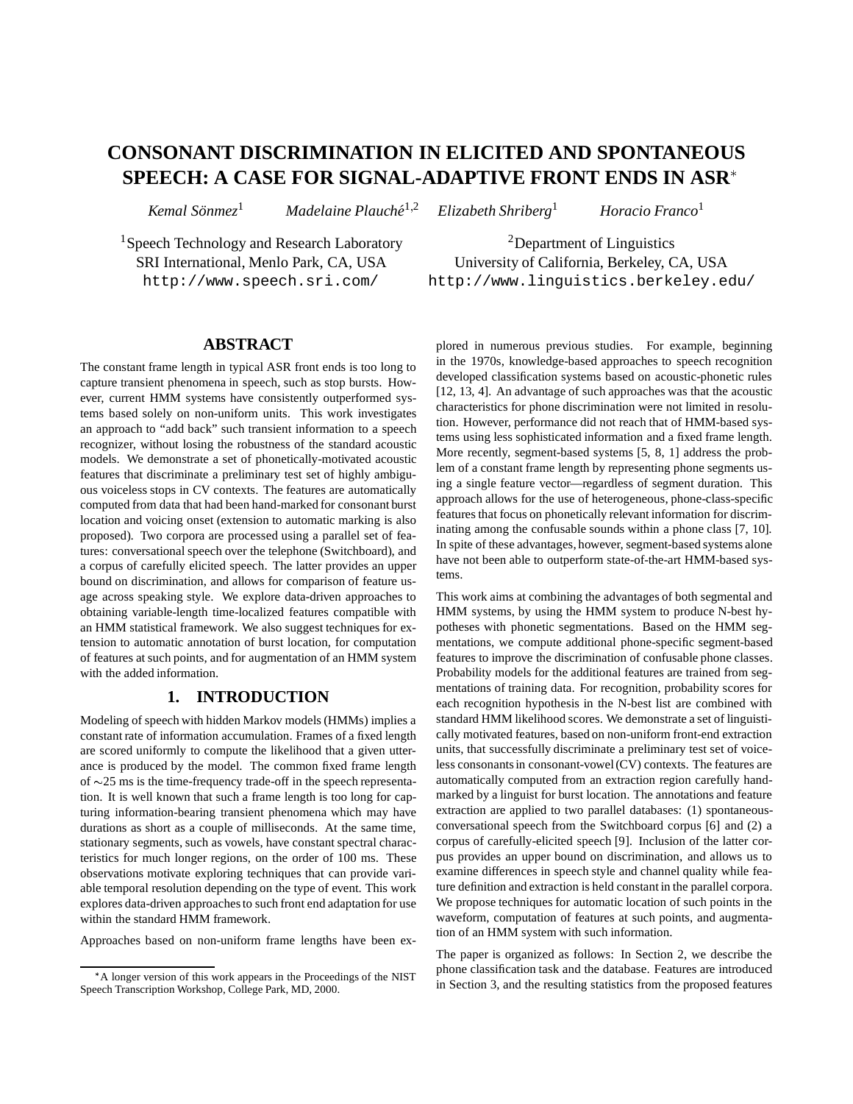# **CONSONANT DISCRIMINATION IN ELICITED AND SPONTANEOUS SPEECH: A CASE FOR SIGNAL-ADAPTIVE FRONT ENDS IN ASR**

*Kemal S¨onmez*<sup>1</sup> *Madelaine Plauch´e*1;<sup>2</sup> *Elizabeth Shriberg*<sup>1</sup> *Horacio Franco*<sup>1</sup>

<sup>1</sup>Speech Technology and Research Laboratory SRI International, Menlo Park, CA, USA http://www.speech.sri.com/

<sup>2</sup>Department of Linguistics University of California, Berkeley, CA, USA http://www.linguistics.berkeley.edu/

# **ABSTRACT**

The constant frame length in typical ASR front ends is too long to capture transient phenomena in speech, such as stop bursts. However, current HMM systems have consistently outperformed systems based solely on non-uniform units. This work investigates an approach to "add back" such transient information to a speech recognizer, without losing the robustness of the standard acoustic models. We demonstrate a set of phonetically-motivated acoustic features that discriminate a preliminary test set of highly ambiguous voiceless stops in CV contexts. The features are automatically computed from data that had been hand-marked for consonant burst location and voicing onset (extension to automatic marking is also proposed). Two corpora are processed using a parallel set of features: conversational speech over the telephone (Switchboard), and a corpus of carefully elicited speech. The latter provides an upper bound on discrimination, and allows for comparison of feature usage across speaking style. We explore data-driven approaches to obtaining variable-length time-localized features compatible with an HMM statistical framework. We also suggest techniques for extension to automatic annotation of burst location, for computation of features at such points, and for augmentation of an HMM system with the added information.

# **1. INTRODUCTION**

Modeling of speech with hidden Markov models (HMMs) implies a constant rate of information accumulation. Frames of a fixed length are scored uniformly to compute the likelihood that a given utterance is produced by the model. The common fixed frame length of  $\sim$  25 ms is the time-frequency trade-off in the speech representation. It is well known that such a frame length is too long for capturing information-bearing transient phenomena which may have durations as short as a couple of milliseconds. At the same time, stationary segments, such as vowels, have constant spectral characteristics for much longer regions, on the order of 100 ms. These observations motivate exploring techniques that can provide variable temporal resolution depending on the type of event. This work explores data-driven approaches to such front end adaptation for use within the standard HMM framework.

Approaches based on non-uniform frame lengths have been ex-

plored in numerous previous studies. For example, beginning in the 1970s, knowledge-based approaches to speech recognition developed classification systems based on acoustic-phonetic rules [12, 13, 4]. An advantage of such approaches was that the acoustic characteristics for phone discrimination were not limited in resolution. However, performance did not reach that of HMM-based systems using less sophisticated information and a fixed frame length. More recently, segment-based systems [5, 8, 1] address the problem of a constant frame length by representing phone segments using a single feature vector—regardless of segment duration. This approach allows for the use of heterogeneous, phone-class-specific features that focus on phonetically relevant information for discriminating among the confusable sounds within a phone class [7, 10]. In spite of these advantages, however, segment-based systems alone have not been able to outperform state-of-the-art HMM-based systems.

This work aims at combining the advantages of both segmental and HMM systems, by using the HMM system to produce N-best hypotheses with phonetic segmentations. Based on the HMM segmentations, we compute additional phone-specific segment-based features to improve the discrimination of confusable phone classes. Probability models for the additional features are trained from segmentations of training data. For recognition, probability scores for each recognition hypothesis in the N-best list are combined with standard HMM likelihood scores. We demonstrate a set of linguistically motivated features, based on non-uniform front-end extraction units, that successfully discriminate a preliminary test set of voiceless consonants in consonant-vowel(CV) contexts. The features are automatically computed from an extraction region carefully handmarked by a linguist for burst location. The annotations and feature extraction are applied to two parallel databases: (1) spontaneousconversational speech from the Switchboard corpus [6] and (2) a corpus of carefully-elicited speech [9]. Inclusion of the latter corpus provides an upper bound on discrimination, and allows us to examine differences in speech style and channel quality while feature definition and extraction is held constant in the parallel corpora. We propose techniques for automatic location of such points in the waveform, computation of features at such points, and augmentation of an HMM system with such information.

The paper is organized as follows: In Section 2, we describe the phone classification task and the database. Features are introduced in Section 3, and the resulting statistics from the proposed features

A longer version of this work appears in the Proceedings of the NIST Speech Transcription Workshop, College Park, MD, 2000.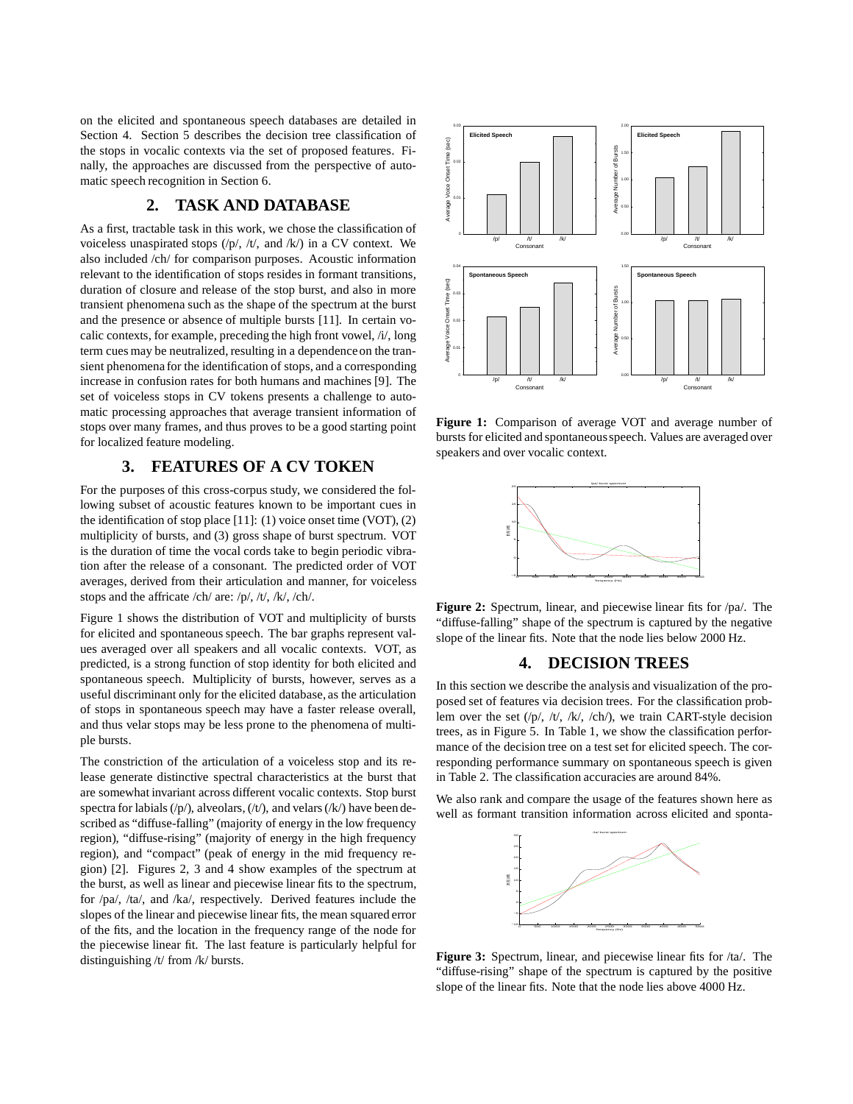on the elicited and spontaneous speech databases are detailed in Section 4. Section 5 describes the decision tree classification of the stops in vocalic contexts via the set of proposed features. Finally, the approaches are discussed from the perspective of automatic speech recognition in Section 6.

# **2. TASK AND DATABASE**

As a first, tractable task in this work, we chose the classification of voiceless unaspirated stops  $(\frac{p}{, t}$ ,  $\frac{dt}{, t}$  and  $\frac{dk}{, t}$  in a CV context. We also included /ch/ for comparison purposes. Acoustic information relevant to the identification of stops resides in formant transitions, duration of closure and release of the stop burst, and also in more transient phenomena such as the shape of the spectrum at the burst and the presence or absence of multiple bursts [11]. In certain vocalic contexts, for example, preceding the high front vowel, /i/, long term cues may be neutralized, resulting in a dependenceon the transient phenomena for the identification of stops, and a corresponding increase in confusion rates for both humans and machines [9]. The set of voiceless stops in CV tokens presents a challenge to automatic processing approaches that average transient information of stops over many frames, and thus proves to be a good starting point for localized feature modeling.

### **3. FEATURES OF A CV TOKEN**

For the purposes of this cross-corpus study, we considered the following subset of acoustic features known to be important cues in the identification of stop place [11]: (1) voice onset time (VOT), (2) multiplicity of bursts, and (3) gross shape of burst spectrum. VOT is the duration of time the vocal cords take to begin periodic vibration after the release of a consonant. The predicted order of VOT averages, derived from their articulation and manner, for voiceless stops and the affricate /ch/ are: /p/, /t/, /k/, /ch/.

Figure 1 shows the distribution of VOT and multiplicity of bursts for elicited and spontaneous speech. The bar graphs represent values averaged over all speakers and all vocalic contexts. VOT, as predicted, is a strong function of stop identity for both elicited and spontaneous speech. Multiplicity of bursts, however, serves as a useful discriminant only for the elicited database, as the articulation of stops in spontaneous speech may have a faster release overall, and thus velar stops may be less prone to the phenomena of multiple bursts.

The constriction of the articulation of a voiceless stop and its release generate distinctive spectral characteristics at the burst that are somewhat invariant across different vocalic contexts. Stop burst spectra for labials  $(p/)$ , alveolars,  $(/t/)$ , and velars  $(/k/)$  have been described as "diffuse-falling" (majority of energy in the low frequency region), "diffuse-rising" (majority of energy in the high frequency region), and "compact" (peak of energy in the mid frequency region) [2]. Figures 2, 3 and 4 show examples of the spectrum at the burst, as well as linear and piecewise linear fits to the spectrum, for /pa/, /ta/, and /ka/, respectively. Derived features include the slopes of the linear and piecewise linear fits, the mean squared error of the fits, and the location in the frequency range of the node for the piecewise linear fit. The last feature is particularly helpful for distinguishing /t/ from /k/ bursts.



**Figure 1:** Comparison of average VOT and average number of bursts for elicited and spontaneousspeech. Values are averaged over speakers and over vocalic context.





#### **4. DECISION TREES**

In this section we describe the analysis and visualization of the proposed set of features via decision trees. For the classification problem over the set  $(|p\rangle, |t\rangle, |k\rangle, |ch\rangle)$ , we train CART-style decision trees, as in Figure 5. In Table 1, we show the classification performance of the decision tree on a test set for elicited speech. The corresponding performance summary on spontaneous speech is given in Table 2. The classification accuracies are around 84%.

We also rank and compare the usage of the features shown here as well as formant transition information across elicited and sponta-



**Figure 3:** Spectrum, linear, and piecewise linear fits for /ta/. The "diffuse-rising" shape of the spectrum is captured by the positive slope of the linear fits. Note that the node lies above 4000 Hz.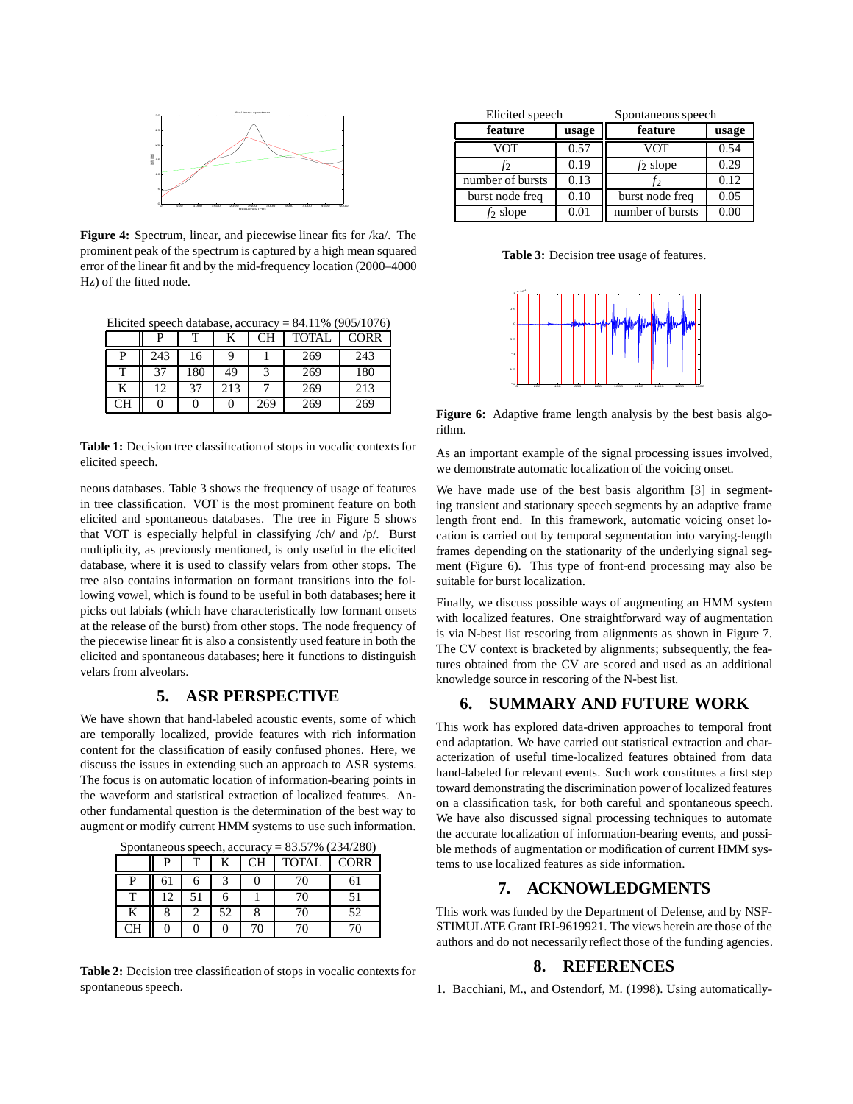

**Figure 4:** Spectrum, linear, and piecewise linear fits for /ka/. The prominent peak of the spectrum is captured by a high mean squared error of the linear fit and by the mid-frequency location (2000–4000 Hz) of the fitted node.

Elicited speech database, accuracy = 84.11% (905/1076)

|    | D   |     |     | CН  | <b>TOTAL</b> | <b>CORR</b> |
|----|-----|-----|-----|-----|--------------|-------------|
| P  | 243 | 16  |     |     | 269          | 243         |
| т  | 37  | 180 | 49  |     | 269          | 180         |
| K  | 12  | 37  | 213 |     | 269          | 213         |
| CН |     |     |     | 269 | 269          | 269         |

**Table 1:** Decision tree classification of stops in vocalic contexts for elicited speech.

neous databases. Table 3 shows the frequency of usage of features in tree classification. VOT is the most prominent feature on both elicited and spontaneous databases. The tree in Figure 5 shows that VOT is especially helpful in classifying /ch/ and /p/. Burst multiplicity, as previously mentioned, is only useful in the elicited database, where it is used to classify velars from other stops. The tree also contains information on formant transitions into the following vowel, which is found to be useful in both databases; here it picks out labials (which have characteristically low formant onsets at the release of the burst) from other stops. The node frequency of the piecewise linear fit is also a consistently used feature in both the elicited and spontaneous databases; here it functions to distinguish velars from alveolars.

# **5. ASR PERSPECTIVE**

We have shown that hand-labeled acoustic events, some of which are temporally localized, provide features with rich information content for the classification of easily confused phones. Here, we discuss the issues in extending such an approach to ASR systems. The focus is on automatic location of information-bearing points in the waveform and statistical extraction of localized features. Another fundamental question is the determination of the best way to augment or modify current HMM systems to use such information.

Spontaneous speech, accuracy  $= 83.57\%$  (234/280)

| $\beta$ b pointaneous speech, accuracy $-$ 05.51 % (25+/2007) |    |    |    |           |              |             |  |
|---------------------------------------------------------------|----|----|----|-----------|--------------|-------------|--|
|                                                               |    |    |    | <b>CH</b> | <b>TOTAL</b> | <b>CORR</b> |  |
| D                                                             | 61 |    |    |           | 70           |             |  |
| т                                                             | 12 | 51 |    |           | 70           |             |  |
| K                                                             |    |    | 52 |           | 70           | 52          |  |
| CН                                                            |    |    |    | 70        | 70           | 70          |  |

**Table 2:** Decision tree classification of stops in vocalic contexts for spontaneous speech.

| Elicited speech  |       | Spontaneous speech |       |  |
|------------------|-------|--------------------|-------|--|
| feature          | usage | feature            | usage |  |
| VOT              | 0.57  | VOT                | 0.54  |  |
| f2               | 0.19  | $f_2$ slope        | 0.29  |  |
| number of bursts | 0.13  | $\mathfrak{p}_2$   | 0.12  |  |
| burst node freq  | 0.10  | burst node freq    | 0.05  |  |
| $f_2$ slope      | 0.01  | number of bursts   |       |  |

**Table 3:** Decision tree usage of features.



Figure 6: Adaptive frame length analysis by the best basis algorithm.

As an important example of the signal processing issues involved, we demonstrate automatic localization of the voicing onset.

We have made use of the best basis algorithm [3] in segmenting transient and stationary speech segments by an adaptive frame length front end. In this framework, automatic voicing onset location is carried out by temporal segmentation into varying-length frames depending on the stationarity of the underlying signal segment (Figure 6). This type of front-end processing may also be suitable for burst localization.

Finally, we discuss possible ways of augmenting an HMM system with localized features. One straightforward way of augmentation is via N-best list rescoring from alignments as shown in Figure 7. The CV context is bracketed by alignments; subsequently, the features obtained from the CV are scored and used as an additional knowledge source in rescoring of the N-best list.

#### **6. SUMMARY AND FUTURE WORK**

This work has explored data-driven approaches to temporal front end adaptation. We have carried out statistical extraction and characterization of useful time-localized features obtained from data hand-labeled for relevant events. Such work constitutes a first step toward demonstrating the discrimination power of localized features on a classification task, for both careful and spontaneous speech. We have also discussed signal processing techniques to automate the accurate localization of information-bearing events, and possible methods of augmentation or modification of current HMM systems to use localized features as side information.

# **7. ACKNOWLEDGMENTS**

This work was funded by the Department of Defense, and by NSF-STIMULATE Grant IRI-9619921. The views herein are those of the authors and do not necessarily reflect those of the funding agencies.

#### **8. REFERENCES**

1. Bacchiani, M., and Ostendorf, M. (1998). Using automatically-